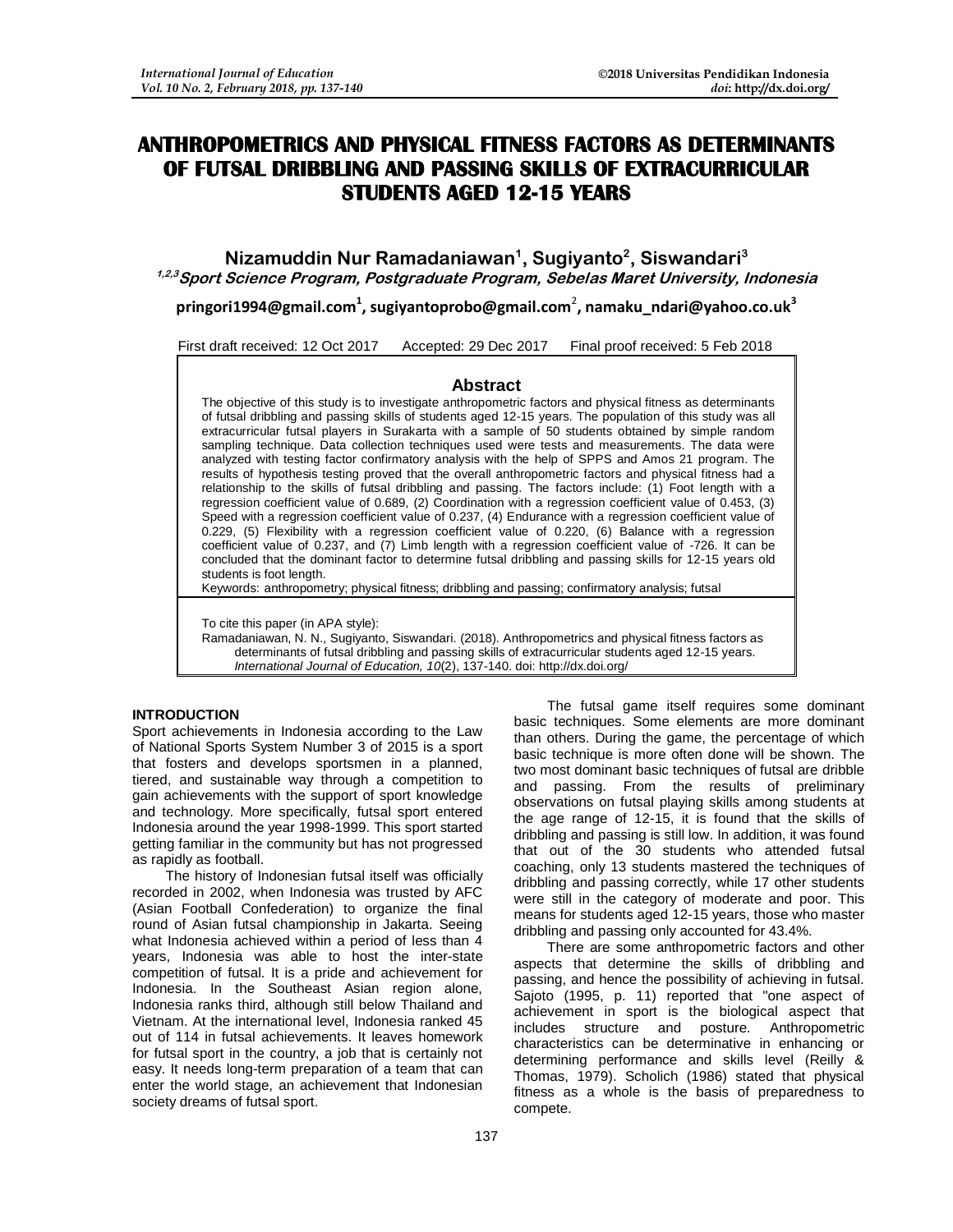# **ANTHROPOMETRICS AND PHYSICAL FITNESS FACTORS AS DETERMINANTS OF FUTSAL DRIBBLING AND PASSING SKILLS OF EXTRACURRICULAR STUDENTS AGED 12-15 YEARS**

**Nizamuddin Nur Ramadaniawan<sup>1</sup> , Sugiyanto<sup>2</sup> , Siswandari<sup>3</sup> 1,2,3Sport Science Program, Postgraduate Program, Sebelas Maret University, Indonesia**

**[pringori1994@gmail.com](mailto:pringori1994@gmail.com)<sup>1</sup> , [sugiyantoprobo@gmail.com](mailto:sugiyantoprobo@gmail.com)**<sup>2</sup> **, [namaku\\_ndari@yahoo.co.uk](mailto:namaku_ndari@yahoo.co.uk)<sup>3</sup>**

First draft received: 12 Oct 2017 Accepted: 29 Dec 2017 Final proof received: 5 Feb 2018

#### **Abstract**

The objective of this study is to investigate anthropometric factors and physical fitness as determinants of futsal dribbling and passing skills of students aged 12-15 years. The population of this study was all extracurricular futsal players in Surakarta with a sample of 50 students obtained by simple random sampling technique. Data collection techniques used were tests and measurements. The data were analyzed with testing factor confirmatory analysis with the help of SPPS and Amos 21 program. The results of hypothesis testing proved that the overall anthropometric factors and physical fitness had a relationship to the skills of futsal dribbling and passing. The factors include: (1) Foot length with a regression coefficient value of 0.689, (2) Coordination with a regression coefficient value of 0.453, (3) Speed with a regression coefficient value of 0.237, (4) Endurance with a regression coefficient value of 0.229, (5) Flexibility with a regression coefficient value of 0.220, (6) Balance with a regression coefficient value of 0.237, and (7) Limb length with a regression coefficient value of -726. It can be concluded that the dominant factor to determine futsal dribbling and passing skills for 12-15 years old students is foot length.

Keywords: anthropometry; physical fitness; dribbling and passing; confirmatory analysis; futsal

To cite this paper (in APA style):

Ramadaniawan, N. N., Sugiyanto, Siswandari. (2018). Anthropometrics and physical fitness factors as determinants of futsal dribbling and passing skills of extracurricular students aged 12-15 years. *International Journal of Education, 10*(2), 137-140. doi: http://dx.doi.org/

#### **INTRODUCTION**

Sport achievements in Indonesia according to the Law of National Sports System Number 3 of 2015 is a sport that fosters and develops sportsmen in a planned, tiered, and sustainable way through a competition to gain achievements with the support of sport knowledge and technology. More specifically, futsal sport entered Indonesia around the year 1998-1999. This sport started getting familiar in the community but has not progressed as rapidly as football.

The history of Indonesian futsal itself was officially recorded in 2002, when Indonesia was trusted by AFC (Asian Football Confederation) to organize the final round of Asian futsal championship in Jakarta. Seeing what Indonesia achieved within a period of less than 4 years, Indonesia was able to host the inter-state competition of futsal. It is a pride and achievement for Indonesia. In the Southeast Asian region alone, Indonesia ranks third, although still below Thailand and Vietnam. At the international level, Indonesia ranked 45 out of 114 in futsal achievements. It leaves homework for futsal sport in the country, a job that is certainly not easy. It needs long-term preparation of a team that can enter the world stage, an achievement that Indonesian society dreams of futsal sport.

The futsal game itself requires some dominant basic techniques. Some elements are more dominant than others. During the game, the percentage of which basic technique is more often done will be shown. The two most dominant basic techniques of futsal are dribble and passing. From the results of preliminary observations on futsal playing skills among students at the age range of 12-15, it is found that the skills of dribbling and passing is still low. In addition, it was found that out of the 30 students who attended futsal coaching, only 13 students mastered the techniques of dribbling and passing correctly, while 17 other students were still in the category of moderate and poor. This means for students aged 12-15 years, those who master dribbling and passing only accounted for 43.4%.

There are some anthropometric factors and other aspects that determine the skills of dribbling and passing, and hence the possibility of achieving in futsal. Sajoto (1995, p. 11) reported that "one aspect of achievement in sport is the biological aspect that includes structure and posture. Anthropometric characteristics can be determinative in enhancing or determining performance and skills level (Reilly & Thomas, 1979). Scholich (1986) stated that physical fitness as a whole is the basis of preparedness to compete.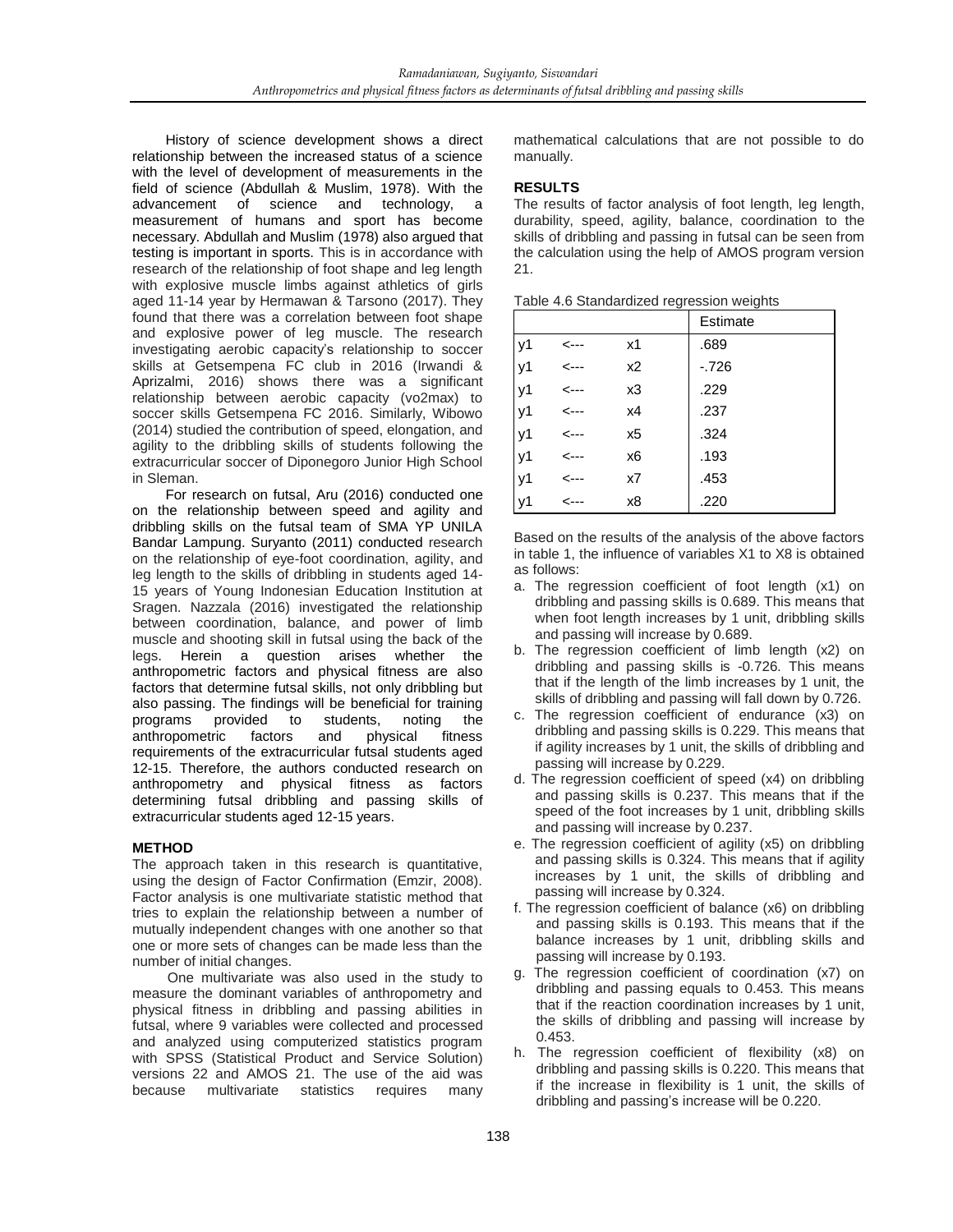History of science development shows a direct relationship between the increased status of a science with the level of development of measurements in the field of science (Abdullah & Muslim, 1978). With the advancement of science and technology, a measurement of humans and sport has become necessary. Abdullah and Muslim (1978) also argued that testing is important in sports. This is in accordance with research of the relationship of foot shape and leg length with explosive muscle limbs against athletics of girls aged 11-14 year by Hermawan & Tarsono (2017). They found that there was a correlation between foot shape and explosive power of leg muscle. The research investigating aerobic capacity's relationship to soccer skills at Getsempena FC club in 2016 (Irwandi & Aprizalmi, 2016) shows there was a significant relationship between aerobic capacity (vo2max) to soccer skills Getsempena FC 2016. Similarly, Wibowo (2014) studied the contribution of speed, elongation, and agility to the dribbling skills of students following the extracurricular soccer of Diponegoro Junior High School in Sleman.

For research on futsal, Aru (2016) conducted one on the relationship between speed and agility and dribbling skills on the futsal team of SMA YP UNILA Bandar Lampung. Suryanto (2011) conducted research on the relationship of eye-foot coordination, agility, and leg length to the skills of dribbling in students aged 14- 15 years of Young Indonesian Education Institution at Sragen. Nazzala (2016) investigated the relationship between coordination, balance, and power of limb muscle and shooting skill in futsal using the back of the legs. Herein a question arises whether the anthropometric factors and physical fitness are also factors that determine futsal skills, not only dribbling but also passing. The findings will be beneficial for training programs provided to students, noting the anthropometric factors and physical fitness requirements of the extracurricular futsal students aged 12-15. Therefore, the authors conducted research on anthropometry and physical fitness as factors determining futsal dribbling and passing skills of extracurricular students aged 12-15 years.

## **METHOD**

The approach taken in this research is quantitative, using the design of Factor Confirmation (Emzir, 2008). Factor analysis is one multivariate statistic method that tries to explain the relationship between a number of mutually independent changes with one another so that one or more sets of changes can be made less than the number of initial changes.

One multivariate was also used in the study to measure the dominant variables of anthropometry and physical fitness in dribbling and passing abilities in futsal, where 9 variables were collected and processed and analyzed using computerized statistics program with SPSS (Statistical Product and Service Solution) versions 22 and AMOS 21. The use of the aid was because multivariate statistics requires many mathematical calculations that are not possible to do manually.

### **RESULTS**

The results of factor analysis of foot length, leg length, durability, speed, agility, balance, coordination to the skills of dribbling and passing in futsal can be seen from the calculation using the help of AMOS program version 21.

|  | Table 4.6 Standardized regression weights |  |
|--|-------------------------------------------|--|
|--|-------------------------------------------|--|

|    |      |    | Estimate |
|----|------|----|----------|
| y1 | <--- | x1 | .689     |
| y1 | <--- | х2 | $-726$   |
| y1 | <--- | x3 | .229     |
| y1 | <--- | x4 | .237     |
| y1 | <--- | x5 | .324     |
| y1 | <--- | x6 | .193     |
| y1 | <--- | x7 | .453     |
| y1 | <--- | x8 | .220     |

Based on the results of the analysis of the above factors in table 1, the influence of variables X1 to X8 is obtained as follows:

- a. The regression coefficient of foot length (x1) on dribbling and passing skills is 0.689. This means that when foot length increases by 1 unit, dribbling skills and passing will increase by 0.689.
- b. The regression coefficient of limb length (x2) on dribbling and passing skills is -0.726. This means that if the length of the limb increases by 1 unit, the skills of dribbling and passing will fall down by 0.726.
- c. The regression coefficient of endurance (x3) on dribbling and passing skills is 0.229. This means that if agility increases by 1 unit, the skills of dribbling and passing will increase by 0.229.
- d. The regression coefficient of speed (x4) on dribbling and passing skills is 0.237. This means that if the speed of the foot increases by 1 unit, dribbling skills and passing will increase by 0.237.
- e. The regression coefficient of agility (x5) on dribbling and passing skills is 0.324. This means that if agility increases by 1 unit, the skills of dribbling and passing will increase by 0.324.
- f. The regression coefficient of balance (x6) on dribbling and passing skills is 0.193. This means that if the balance increases by 1 unit, dribbling skills and passing will increase by 0.193.
- g. The regression coefficient of coordination (x7) on dribbling and passing equals to 0.453. This means that if the reaction coordination increases by 1 unit, the skills of dribbling and passing will increase by 0.453.
- h. The regression coefficient of flexibility (x8) on dribbling and passing skills is 0.220. This means that if the increase in flexibility is 1 unit, the skills of dribbling and passing's increase will be 0.220.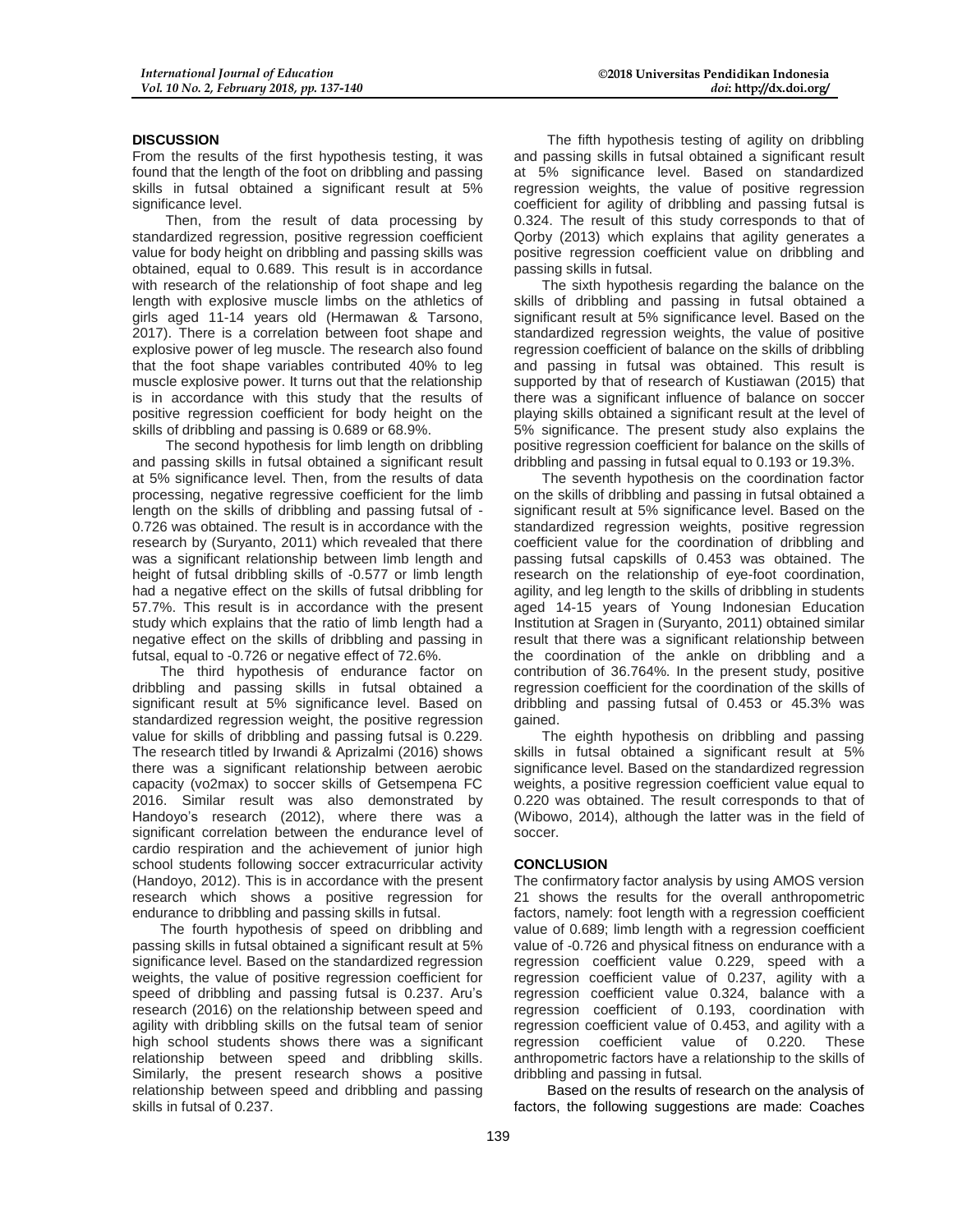#### **DISCUSSION**

From the results of the first hypothesis testing, it was found that the length of the foot on dribbling and passing skills in futsal obtained a significant result at 5% significance level.

Then, from the result of data processing by standardized regression, positive regression coefficient value for body height on dribbling and passing skills was obtained, equal to 0.689. This result is in accordance with research of the relationship of foot shape and leg length with explosive muscle limbs on the athletics of girls aged 11-14 years old (Hermawan & Tarsono, 2017). There is a correlation between foot shape and explosive power of leg muscle. The research also found that the foot shape variables contributed 40% to leg muscle explosive power. It turns out that the relationship is in accordance with this study that the results of positive regression coefficient for body height on the skills of dribbling and passing is 0.689 or 68.9%.

The second hypothesis for limb length on dribbling and passing skills in futsal obtained a significant result at 5% significance level. Then, from the results of data processing, negative regressive coefficient for the limb length on the skills of dribbling and passing futsal of - 0.726 was obtained. The result is in accordance with the research by (Suryanto, 2011) which revealed that there was a significant relationship between limb length and height of futsal dribbling skills of -0.577 or limb length had a negative effect on the skills of futsal dribbling for 57.7%. This result is in accordance with the present study which explains that the ratio of limb length had a negative effect on the skills of dribbling and passing in futsal, equal to -0.726 or negative effect of 72.6%.

The third hypothesis of endurance factor on dribbling and passing skills in futsal obtained a significant result at 5% significance level. Based on standardized regression weight, the positive regression value for skills of dribbling and passing futsal is 0.229. The research titled by Irwandi & Aprizalmi (2016) shows there was a significant relationship between aerobic capacity (vo2max) to soccer skills of Getsempena FC 2016. Similar result was also demonstrated by Handoyo's research (2012), where there was a significant correlation between the endurance level of cardio respiration and the achievement of junior high school students following soccer extracurricular activity (Handoyo, 2012). This is in accordance with the present research which shows a positive regression for endurance to dribbling and passing skills in futsal.

The fourth hypothesis of speed on dribbling and passing skills in futsal obtained a significant result at 5% significance level. Based on the standardized regression weights, the value of positive regression coefficient for speed of dribbling and passing futsal is 0.237. Aru's research (2016) on the relationship between speed and agility with dribbling skills on the futsal team of senior high school students shows there was a significant relationship between speed and dribbling skills. Similarly, the present research shows a positive relationship between speed and dribbling and passing skills in futsal of 0.237.

The fifth hypothesis testing of agility on dribbling and passing skills in futsal obtained a significant result at 5% significance level. Based on standardized regression weights, the value of positive regression coefficient for agility of dribbling and passing futsal is 0.324. The result of this study corresponds to that of Qorby (2013) which explains that agility generates a positive regression coefficient value on dribbling and passing skills in futsal.

The sixth hypothesis regarding the balance on the skills of dribbling and passing in futsal obtained a significant result at 5% significance level. Based on the standardized regression weights, the value of positive regression coefficient of balance on the skills of dribbling and passing in futsal was obtained. This result is supported by that of research of Kustiawan (2015) that there was a significant influence of balance on soccer playing skills obtained a significant result at the level of 5% significance. The present study also explains the positive regression coefficient for balance on the skills of dribbling and passing in futsal equal to 0.193 or 19.3%.

The seventh hypothesis on the coordination factor on the skills of dribbling and passing in futsal obtained a significant result at 5% significance level. Based on the standardized regression weights, positive regression coefficient value for the coordination of dribbling and passing futsal capskills of 0.453 was obtained. The research on the relationship of eye-foot coordination, agility, and leg length to the skills of dribbling in students aged 14-15 years of Young Indonesian Education Institution at Sragen in (Suryanto, 2011) obtained similar result that there was a significant relationship between the coordination of the ankle on dribbling and a contribution of 36.764%. In the present study, positive regression coefficient for the coordination of the skills of dribbling and passing futsal of 0.453 or 45.3% was gained.

The eighth hypothesis on dribbling and passing skills in futsal obtained a significant result at 5% significance level. Based on the standardized regression weights, a positive regression coefficient value equal to 0.220 was obtained. The result corresponds to that of (Wibowo, 2014), although the latter was in the field of soccer.

#### **CONCLUSION**

The confirmatory factor analysis by using AMOS version 21 shows the results for the overall anthropometric factors, namely: foot length with a regression coefficient value of 0.689; limb length with a regression coefficient value of -0.726 and physical fitness on endurance with a regression coefficient value 0.229, speed with a regression coefficient value of 0.237, agility with a regression coefficient value 0.324, balance with a regression coefficient of 0.193, coordination with regression coefficient value of 0.453, and agility with a regression coefficient value of 0.220. These anthropometric factors have a relationship to the skills of dribbling and passing in futsal.

Based on the results of research on the analysis of factors, the following suggestions are made: Coaches